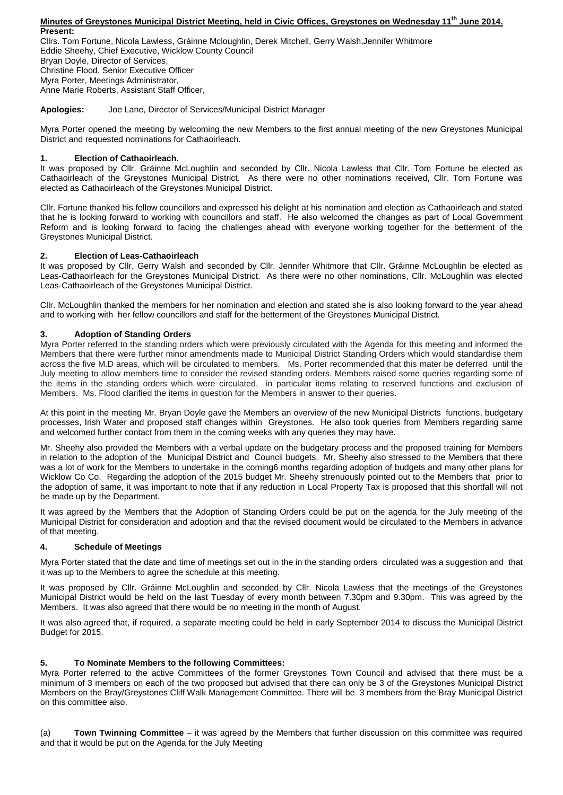#### **Minutes of Greystones Municipal District Meeting, held in Civic Offices, Greystones on Wednesday 11th June 2014. Present:**

Cllrs. Tom Fortune, Nicola Lawless, Gráinne Mcloughlin, Derek Mitchell, Gerry Walsh,Jennifer Whitmore Eddie Sheehy, Chief Executive, Wicklow County Council Bryan Doyle, Director of Services, Christine Flood, Senior Executive Officer Myra Porter, Meetings Administrator, Anne Marie Roberts, Assistant Staff Officer,

**Apologies:** Joe Lane, Director of Services/Municipal District Manager

Myra Porter opened the meeting by welcoming the new Members to the first annual meeting of the new Greystones Municipal District and requested nominations for Cathaoirleach.

## **1. Election of Cathaoirleach.**

It was proposed by Cllr. Gráinne McLoughlin and seconded by Cllr. Nicola Lawless that Cllr. Tom Fortune be elected as Cathaoirleach of the Greystones Municipal District. As there were no other nominations received, Cllr. Tom Fortune was elected as Cathaoirleach of the Greystones Municipal District.

Cllr. Fortune thanked his fellow councillors and expressed his delight at his nomination and election as Cathaoirleach and stated that he is looking forward to working with councillors and staff. He also welcomed the changes as part of Local Government Reform and is looking forward to facing the challenges ahead with everyone working together for the betterment of the Greystones Municipal District.

## **2. Election of Leas-Cathaoirleach**

It was proposed by Cllr. Gerry Walsh and seconded by Cllr. Jennifer Whitmore that Cllr. Gráinne McLoughlin be elected as Leas-Cathaoirleach for the Greystones Municipal District. As there were no other nominations, Cllr. McLoughlin was elected Leas-Cathaoirleach of the Greystones Municipal District.

Cllr. McLoughlin thanked the members for her nomination and election and stated she is also looking forward to the year ahead and to working with her fellow councillors and staff for the betterment of the Greystones Municipal District.

# **3. Adoption of Standing Orders**

Myra Porter referred to the standing orders which were previously circulated with the Agenda for this meeting and informed the Members that there were further minor amendments made to Municipal District Standing Orders which would standardise them across the five M.D areas, which will be circulated to members. Ms. Porter recommended that this mater be deferred until the July meeting to allow members time to consider the revised standing orders. Members raised some queries regarding some of the items in the standing orders which were circulated, in particular items relating to reserved functions and exclusion of Members. Ms. Flood clarified the items in question for the Members in answer to their queries.

At this point in the meeting Mr. Bryan Doyle gave the Members an overview of the new Municipal Districts functions, budgetary processes, Irish Water and proposed staff changes within Greystones. He also took queries from Members regarding same and welcomed further contact from them in the coming weeks with any queries they may have.

Mr. Sheehy also provided the Members with a verbal update on the budgetary process and the proposed training for Members in relation to the adoption of the Municipal District and Council budgets. Mr. Sheehy also stressed to the Members that there was a lot of work for the Members to undertake in the coming6 months regarding adoption of budgets and many other plans for Wicklow Co Co. Regarding the adoption of the 2015 budget Mr. Sheehy strenuously pointed out to the Members that prior to the adoption of same, it was important to note that if any reduction in Local Property Tax is proposed that this shortfall will not be made up by the Department.

It was agreed by the Members that the Adoption of Standing Orders could be put on the agenda for the July meeting of the Municipal District for consideration and adoption and that the revised document would be circulated to the Members in advance of that meeting.

### **4. Schedule of Meetings**

Myra Porter stated that the date and time of meetings set out in the in the standing orders circulated was a suggestion and that it was up to the Members to agree the schedule at this meeting.

It was proposed by Cllr. Gráinne McLoughlin and seconded by Cllr. Nicola Lawless that the meetings of the Greystones Municipal District would be held on the last Tuesday of every month between 7.30pm and 9.30pm. This was agreed by the Members. It was also agreed that there would be no meeting in the month of August.

It was also agreed that, if required, a separate meeting could be held in early September 2014 to discuss the Municipal District Budget for 2015.

### **5. To Nominate Members to the following Committees:**

Myra Porter referred to the active Committees of the former Greystones Town Council and advised that there must be a minimum of 3 members on each of the two proposed but advised that there can only be 3 of the Greystones Municipal District Members on the Bray/Greystones Cliff Walk Management Committee. There will be 3 members from the Bray Municipal District on this committee also.

(a) **Town Twinning Committee** – it was agreed by the Members that further discussion on this committee was required and that it would be put on the Agenda for the July Meeting